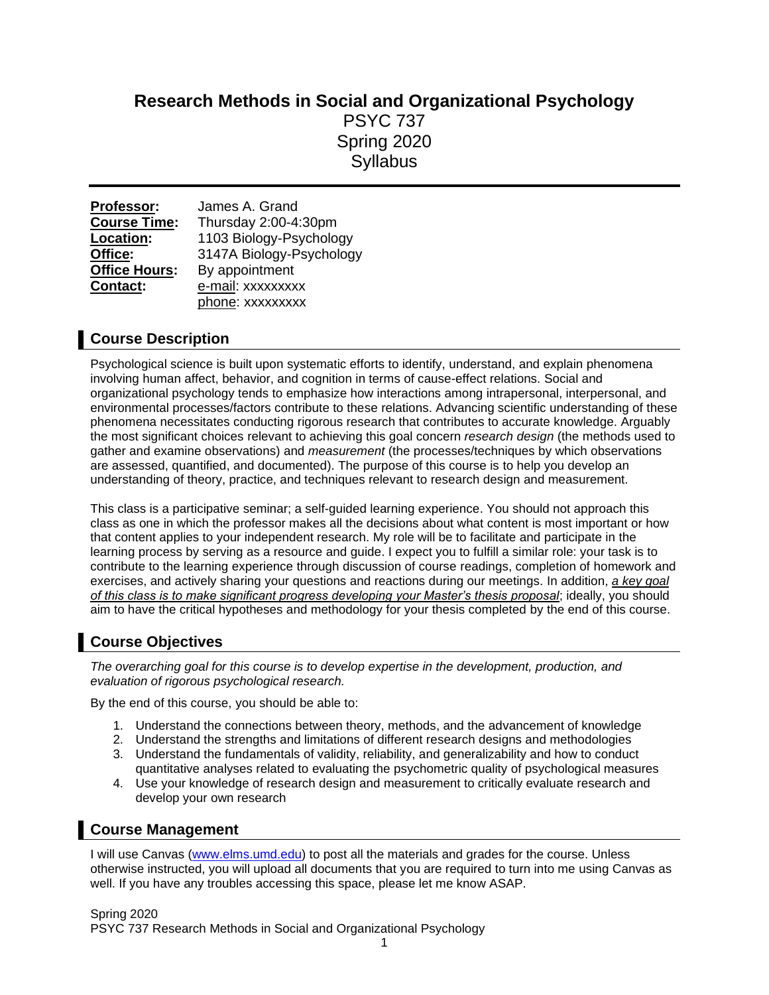# **Research Methods in Social and Organizational Psychology** PSYC 737 Spring 2020 **Syllabus**

| Professor:           | James A. Grand           |  |  |
|----------------------|--------------------------|--|--|
| <b>Course Time:</b>  | Thursday 2:00-4:30pm     |  |  |
| Location:            | 1103 Biology-Psychology  |  |  |
| Office:              | 3147A Biology-Psychology |  |  |
| <b>Office Hours:</b> | By appointment           |  |  |
| Contact:             | e-mail: xxxxxxxxx        |  |  |
|                      | phone: xxxxxxxxx         |  |  |

# **Course Description**

Psychological science is built upon systematic efforts to identify, understand, and explain phenomena involving human affect, behavior, and cognition in terms of cause-effect relations. Social and organizational psychology tends to emphasize how interactions among intrapersonal, interpersonal, and environmental processes/factors contribute to these relations. Advancing scientific understanding of these phenomena necessitates conducting rigorous research that contributes to accurate knowledge. Arguably the most significant choices relevant to achieving this goal concern *research design* (the methods used to gather and examine observations) and *measurement* (the processes/techniques by which observations are assessed, quantified, and documented). The purpose of this course is to help you develop an understanding of theory, practice, and techniques relevant to research design and measurement.

This class is a participative seminar; a self-guided learning experience. You should not approach this class as one in which the professor makes all the decisions about what content is most important or how that content applies to your independent research. My role will be to facilitate and participate in the learning process by serving as a resource and guide. I expect you to fulfill a similar role: your task is to contribute to the learning experience through discussion of course readings, completion of homework and exercises, and actively sharing your questions and reactions during our meetings. In addition, *a key goal of this class is to make significant progress developing your Master's thesis proposal*; ideally, you should aim to have the critical hypotheses and methodology for your thesis completed by the end of this course.

# **Course Objectives**

*The overarching goal for this course is to develop expertise in the development, production, and evaluation of rigorous psychological research.*

By the end of this course, you should be able to:

- 1. Understand the connections between theory, methods, and the advancement of knowledge
- 2. Understand the strengths and limitations of different research designs and methodologies
- 3. Understand the fundamentals of validity, reliability, and generalizability and how to conduct quantitative analyses related to evaluating the psychometric quality of psychological measures
- 4. Use your knowledge of research design and measurement to critically evaluate research and develop your own research

# **Course Management**

I will use Canvas [\(www.elms.umd.edu\)](http://www.elms.umd.edu/) to post all the materials and grades for the course. Unless otherwise instructed, you will upload all documents that you are required to turn into me using Canvas as well. If you have any troubles accessing this space, please let me know ASAP.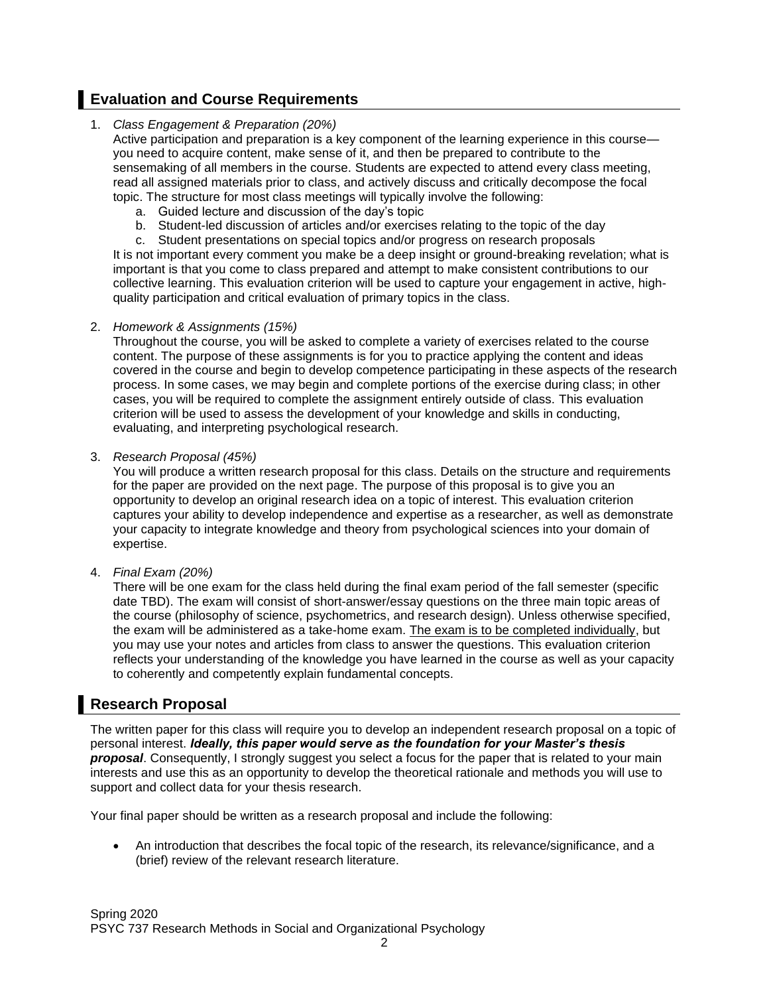# **Evaluation and Course Requirements**

# 1. *Class Engagement & Preparation (20%)*

Active participation and preparation is a key component of the learning experience in this course you need to acquire content, make sense of it, and then be prepared to contribute to the sensemaking of all members in the course. Students are expected to attend every class meeting, read all assigned materials prior to class, and actively discuss and critically decompose the focal topic. The structure for most class meetings will typically involve the following:

- a. Guided lecture and discussion of the day's topic
- b. Student-led discussion of articles and/or exercises relating to the topic of the day
- c. Student presentations on special topics and/or progress on research proposals

It is not important every comment you make be a deep insight or ground-breaking revelation; what is important is that you come to class prepared and attempt to make consistent contributions to our collective learning. This evaluation criterion will be used to capture your engagement in active, highquality participation and critical evaluation of primary topics in the class.

### 2. *Homework & Assignments (15%)*

Throughout the course, you will be asked to complete a variety of exercises related to the course content. The purpose of these assignments is for you to practice applying the content and ideas covered in the course and begin to develop competence participating in these aspects of the research process. In some cases, we may begin and complete portions of the exercise during class; in other cases, you will be required to complete the assignment entirely outside of class. This evaluation criterion will be used to assess the development of your knowledge and skills in conducting, evaluating, and interpreting psychological research.

### 3. *Research Proposal (45%)*

You will produce a written research proposal for this class. Details on the structure and requirements for the paper are provided on the next page. The purpose of this proposal is to give you an opportunity to develop an original research idea on a topic of interest. This evaluation criterion captures your ability to develop independence and expertise as a researcher, as well as demonstrate your capacity to integrate knowledge and theory from psychological sciences into your domain of expertise.

## 4. *Final Exam (20%)*

There will be one exam for the class held during the final exam period of the fall semester (specific date TBD). The exam will consist of short-answer/essay questions on the three main topic areas of the course (philosophy of science, psychometrics, and research design). Unless otherwise specified, the exam will be administered as a take-home exam. The exam is to be completed individually, but you may use your notes and articles from class to answer the questions. This evaluation criterion reflects your understanding of the knowledge you have learned in the course as well as your capacity to coherently and competently explain fundamental concepts.

# **Research Proposal**

The written paper for this class will require you to develop an independent research proposal on a topic of personal interest. *Ideally, this paper would serve as the foundation for your Master's thesis proposal*. Consequently, I strongly suggest you select a focus for the paper that is related to your main interests and use this as an opportunity to develop the theoretical rationale and methods you will use to support and collect data for your thesis research.

Your final paper should be written as a research proposal and include the following:

• An introduction that describes the focal topic of the research, its relevance/significance, and a (brief) review of the relevant research literature.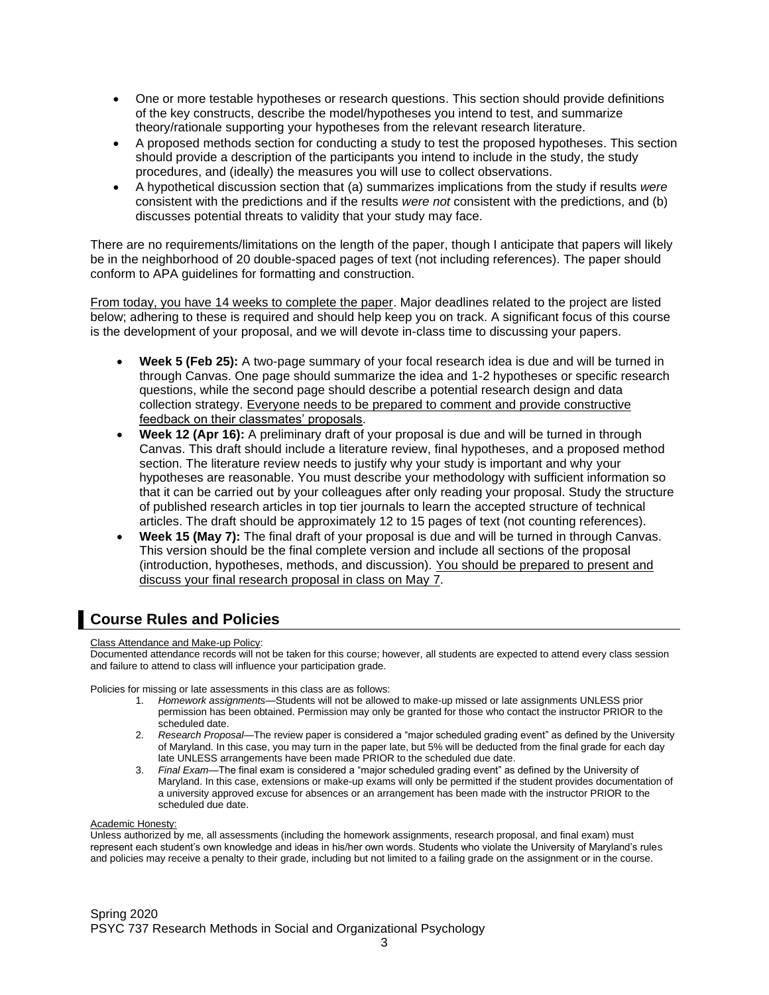- One or more testable hypotheses or research questions. This section should provide definitions of the key constructs, describe the model/hypotheses you intend to test, and summarize theory/rationale supporting your hypotheses from the relevant research literature.
- A proposed methods section for conducting a study to test the proposed hypotheses. This section should provide a description of the participants you intend to include in the study, the study procedures, and (ideally) the measures you will use to collect observations.
- A hypothetical discussion section that (a) summarizes implications from the study if results *were* consistent with the predictions and if the results *were not* consistent with the predictions, and (b) discusses potential threats to validity that your study may face.

There are no requirements/limitations on the length of the paper, though I anticipate that papers will likely be in the neighborhood of 20 double-spaced pages of text (not including references). The paper should conform to APA guidelines for formatting and construction.

From today, you have 14 weeks to complete the paper. Major deadlines related to the project are listed below; adhering to these is required and should help keep you on track. A significant focus of this course is the development of your proposal, and we will devote in-class time to discussing your papers.

- **Week 5 (Feb 25):** A two-page summary of your focal research idea is due and will be turned in through Canvas. One page should summarize the idea and 1-2 hypotheses or specific research questions, while the second page should describe a potential research design and data collection strategy. Everyone needs to be prepared to comment and provide constructive feedback on their classmates' proposals.
- **Week 12 (Apr 16):** A preliminary draft of your proposal is due and will be turned in through Canvas. This draft should include a literature review, final hypotheses, and a proposed method section. The literature review needs to justify why your study is important and why your hypotheses are reasonable. You must describe your methodology with sufficient information so that it can be carried out by your colleagues after only reading your proposal. Study the structure of published research articles in top tier journals to learn the accepted structure of technical articles. The draft should be approximately 12 to 15 pages of text (not counting references).
- **Week 15 (May 7):** The final draft of your proposal is due and will be turned in through Canvas. This version should be the final complete version and include all sections of the proposal (introduction, hypotheses, methods, and discussion). You should be prepared to present and discuss your final research proposal in class on May 7.

# **Course Rules and Policies**

#### Class Attendance and Make-up Policy:

Documented attendance records will not be taken for this course; however, all students are expected to attend every class session and failure to attend to class will influence your participation grade.

Policies for missing or late assessments in this class are as follows:

- 1. *Homework assignments*—Students will not be allowed to make-up missed or late assignments UNLESS prior permission has been obtained. Permission may only be granted for those who contact the instructor PRIOR to the .<br>scheduled date.
- 2. *Research Proposal*—The review paper is considered a "major scheduled grading event" as defined by the University of Maryland. In this case, you may turn in the paper late, but 5% will be deducted from the final grade for each day late UNLESS arrangements have been made PRIOR to the scheduled due date.
- 3. *Final Exam*—The final exam is considered a "major scheduled grading event" as defined by the University of Maryland. In this case, extensions or make-up exams will only be permitted if the student provides documentation of a university approved excuse for absences or an arrangement has been made with the instructor PRIOR to the scheduled due date.

#### **Academic Honesty:**

Unless authorized by me, all assessments (including the homework assignments, research proposal, and final exam) must represent each student's own knowledge and ideas in his/her own words. Students who violate the University of Maryland's rules and policies may receive a penalty to their grade, including but not limited to a failing grade on the assignment or in the course.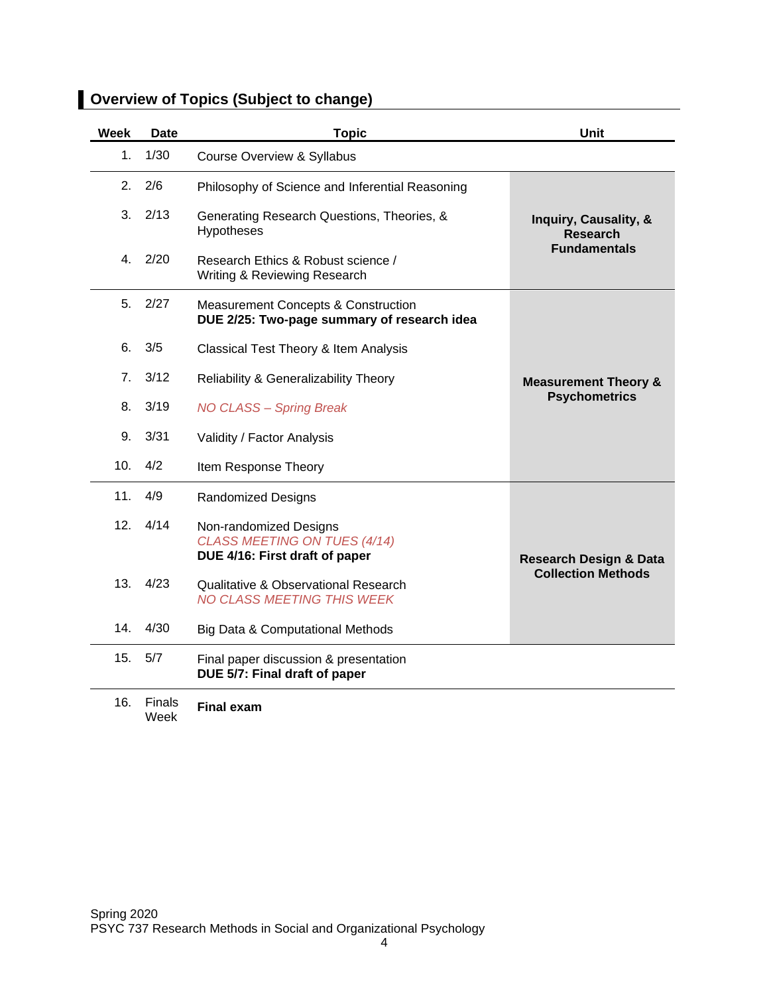| Week | Date   | <b>Topic</b>                                                                                  | <b>Unit</b>                              |  |
|------|--------|-----------------------------------------------------------------------------------------------|------------------------------------------|--|
| 1.   | 1/30   | Course Overview & Syllabus                                                                    |                                          |  |
| 2.   | 2/6    | Philosophy of Science and Inferential Reasoning                                               |                                          |  |
| 3.   | 2/13   | Generating Research Questions, Theories, &<br>Hypotheses                                      | Inquiry, Causality, &<br><b>Research</b> |  |
| 4.   | 2/20   | Research Ethics & Robust science /<br>Writing & Reviewing Research                            | <b>Fundamentals</b>                      |  |
| 5.   | 2/27   | <b>Measurement Concepts &amp; Construction</b><br>DUE 2/25: Two-page summary of research idea |                                          |  |
| 6.   | 3/5    | Classical Test Theory & Item Analysis                                                         |                                          |  |
| 7.   | 3/12   | Reliability & Generalizability Theory                                                         | <b>Measurement Theory &amp;</b>          |  |
| 8.   | 3/19   | <b>NO CLASS - Spring Break</b>                                                                | <b>Psychometrics</b>                     |  |
| 9.   | 3/31   | Validity / Factor Analysis                                                                    |                                          |  |
| 10.  | 4/2    | Item Response Theory                                                                          |                                          |  |
| 11.  | 4/9    | <b>Randomized Designs</b>                                                                     |                                          |  |
| 12.  | 4/14   | Non-randomized Designs<br>CLASS MEETING ON TUES (4/14)<br>DUE 4/16: First draft of paper      | <b>Research Design &amp; Data</b>        |  |
| 13.  | 4/23   | <b>Qualitative &amp; Observational Research</b><br>NO CLASS MEETING THIS WEEK                 | <b>Collection Methods</b>                |  |
| 14.  | 4/30   | Big Data & Computational Methods                                                              |                                          |  |
| 15.  | 5/7    | Final paper discussion & presentation<br>DUE 5/7: Final draft of paper                        |                                          |  |
| 16.  | Finals | <b>Final exam</b>                                                                             |                                          |  |

# **Overview of Topics (Subject to change)**

Week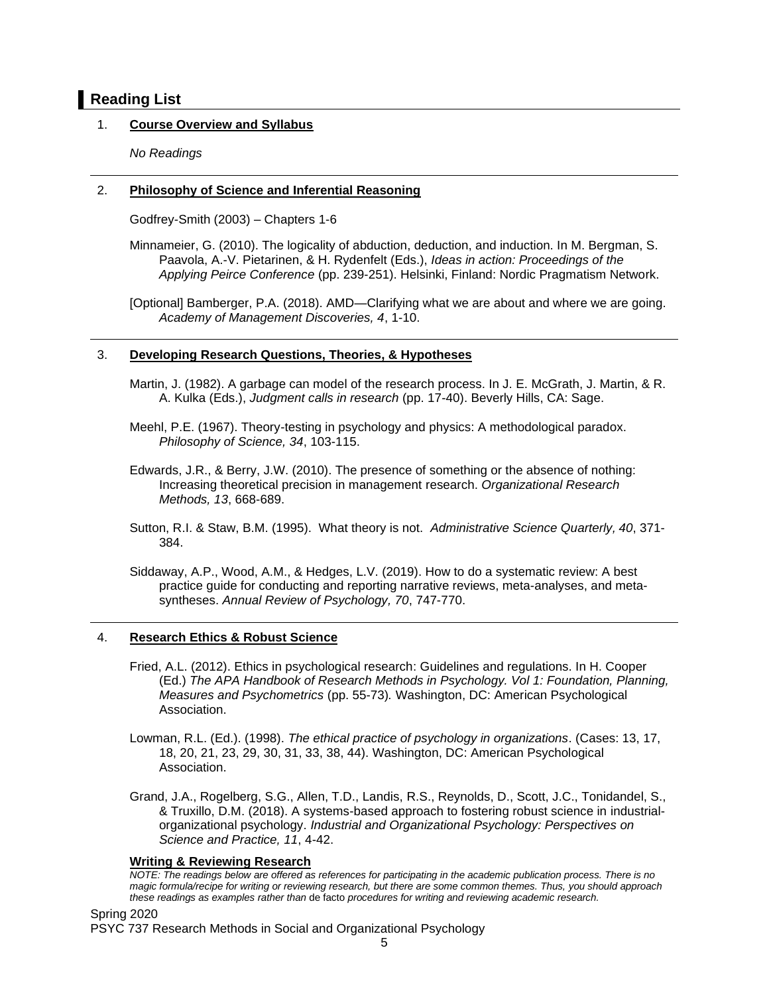# **Reading List**

## 1. **Course Overview and Syllabus**

*No Readings*

### 2. **Philosophy of Science and Inferential Reasoning**

Godfrey-Smith (2003) – Chapters 1-6

Minnameier, G. (2010). The logicality of abduction, deduction, and induction. In M. Bergman, S. Paavola, A.-V. Pietarinen, & H. Rydenfelt (Eds.), *Ideas in action: Proceedings of the Applying Peirce Conference* (pp. 239-251). Helsinki, Finland: Nordic Pragmatism Network.

[Optional] Bamberger, P.A. (2018). AMD—Clarifying what we are about and where we are going. *Academy of Management Discoveries, 4*, 1-10.

#### 3. **Developing Research Questions, Theories, & Hypotheses**

Martin, J. (1982). A garbage can model of the research process. In J. E. McGrath, J. Martin, & R. A. Kulka (Eds.), *Judgment calls in research* (pp. 17-40). Beverly Hills, CA: Sage.

- Meehl, P.E. (1967). Theory-testing in psychology and physics: A methodological paradox. *Philosophy of Science, 34*, 103-115.
- Edwards, J.R., & Berry, J.W. (2010). The presence of something or the absence of nothing: Increasing theoretical precision in management research. *Organizational Research Methods, 13*, 668-689.
- Sutton, R.I. & Staw, B.M. (1995). What theory is not. *Administrative Science Quarterly, 40*, 371- 384.
- Siddaway, A.P., Wood, A.M., & Hedges, L.V. (2019). How to do a systematic review: A best practice guide for conducting and reporting narrative reviews, meta-analyses, and metasyntheses. *Annual Review of Psychology, 70*, 747-770.

#### 4. **Research Ethics & Robust Science**

- Fried, A.L. (2012). Ethics in psychological research: Guidelines and regulations. In H. Cooper (Ed.) *The APA Handbook of Research Methods in Psychology. Vol 1: Foundation, Planning, Measures and Psychometrics* (pp. 55-73)*.* Washington, DC: American Psychological Association.
- Lowman, R.L. (Ed.). (1998). *The ethical practice of psychology in organizations*. (Cases: 13, 17, 18, 20, 21, 23, 29, 30, 31, 33, 38, 44). Washington, DC: American Psychological Association.
- Grand, J.A., Rogelberg, S.G., Allen, T.D., Landis, R.S., Reynolds, D., Scott, J.C., Tonidandel, S., & Truxillo, D.M. (2018). A systems-based approach to fostering robust science in industrialorganizational psychology. *Industrial and Organizational Psychology: Perspectives on Science and Practice, 11*, 4-42.

#### **Writing & Reviewing Research**

*NOTE: The readings below are offered as references for participating in the academic publication process. There is no magic formula/recipe for writing or reviewing research, but there are some common themes. Thus, you should approach these readings as examples rather than* de facto *procedures for writing and reviewing academic research.*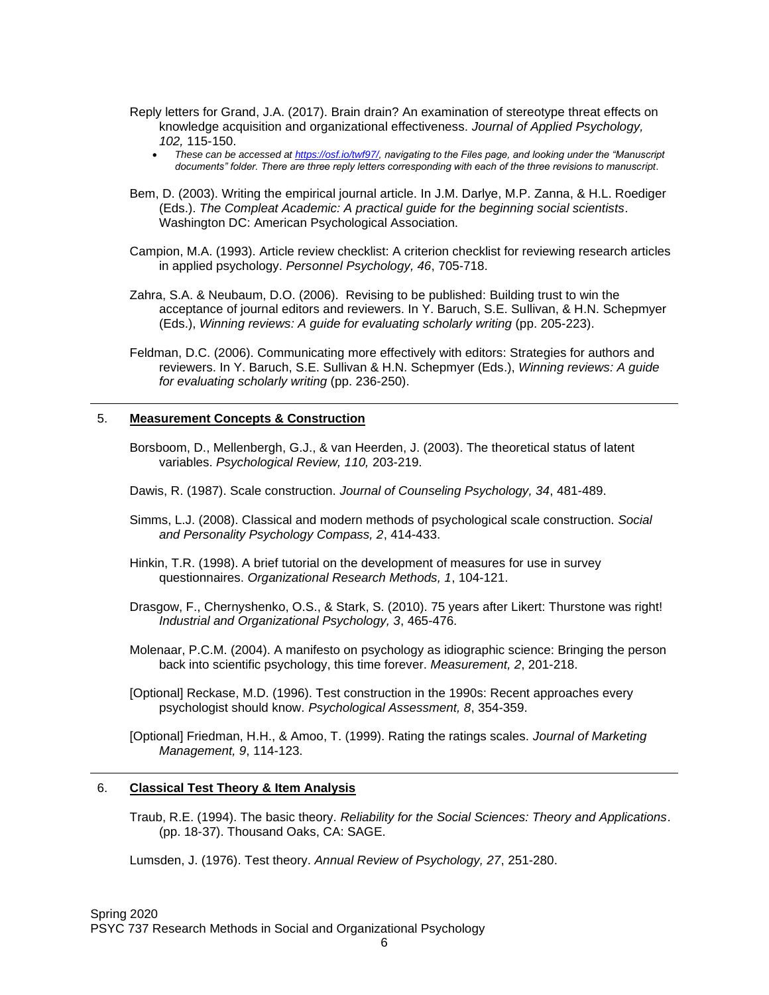- Reply letters for Grand, J.A. (2017). Brain drain? An examination of stereotype threat effects on knowledge acquisition and organizational effectiveness. *Journal of Applied Psychology, 102,* 115-150.
	- *These can be accessed at [https://osf.io/twf97/,](https://osf.io/twf97/) navigating to the Files page, and looking under the "Manuscript documents" folder. There are three reply letters corresponding with each of the three revisions to manuscript*.
- Bem, D. (2003). Writing the empirical journal article. In J.M. Darlye, M.P. Zanna, & H.L. Roediger (Eds.). *The Compleat Academic: A practical guide for the beginning social scientists*. Washington DC: American Psychological Association.
- Campion, M.A. (1993). Article review checklist: A criterion checklist for reviewing research articles in applied psychology. *Personnel Psychology, 46*, 705-718.
- Zahra, S.A. & Neubaum, D.O. (2006). Revising to be published: Building trust to win the acceptance of journal editors and reviewers. In Y. Baruch, S.E. Sullivan, & H.N. Schepmyer (Eds.), *Winning reviews: A guide for evaluating scholarly writing* (pp. 205-223).
- Feldman, D.C. (2006). Communicating more effectively with editors: Strategies for authors and reviewers. In Y. Baruch, S.E. Sullivan & H.N. Schepmyer (Eds.), *Winning reviews: A guide for evaluating scholarly writing* (pp. 236-250).

#### 5. **Measurement Concepts & Construction**

- Borsboom, D., Mellenbergh, G.J., & van Heerden, J. (2003). The theoretical status of latent variables. *Psychological Review, 110,* 203-219.
- Dawis, R. (1987). Scale construction. *Journal of Counseling Psychology, 34*, 481-489.
- Simms, L.J. (2008). Classical and modern methods of psychological scale construction. *Social and Personality Psychology Compass, 2*, 414-433.
- Hinkin, T.R. (1998). A brief tutorial on the development of measures for use in survey questionnaires. *Organizational Research Methods, 1*, 104-121.
- Drasgow, F., Chernyshenko, O.S., & Stark, S. (2010). 75 years after Likert: Thurstone was right! *Industrial and Organizational Psychology, 3*, 465-476.
- Molenaar, P.C.M. (2004). A manifesto on psychology as idiographic science: Bringing the person back into scientific psychology, this time forever. *Measurement, 2*, 201-218.
- [Optional] Reckase, M.D. (1996). Test construction in the 1990s: Recent approaches every psychologist should know. *Psychological Assessment, 8*, 354-359.
- [Optional] Friedman, H.H., & Amoo, T. (1999). Rating the ratings scales. *Journal of Marketing Management, 9*, 114-123.

#### 6. **Classical Test Theory & Item Analysis**

Traub, R.E. (1994). The basic theory. *Reliability for the Social Sciences: Theory and Applications*. (pp. 18-37). Thousand Oaks, CA: SAGE.

Lumsden, J. (1976). Test theory. *Annual Review of Psychology, 27*, 251-280.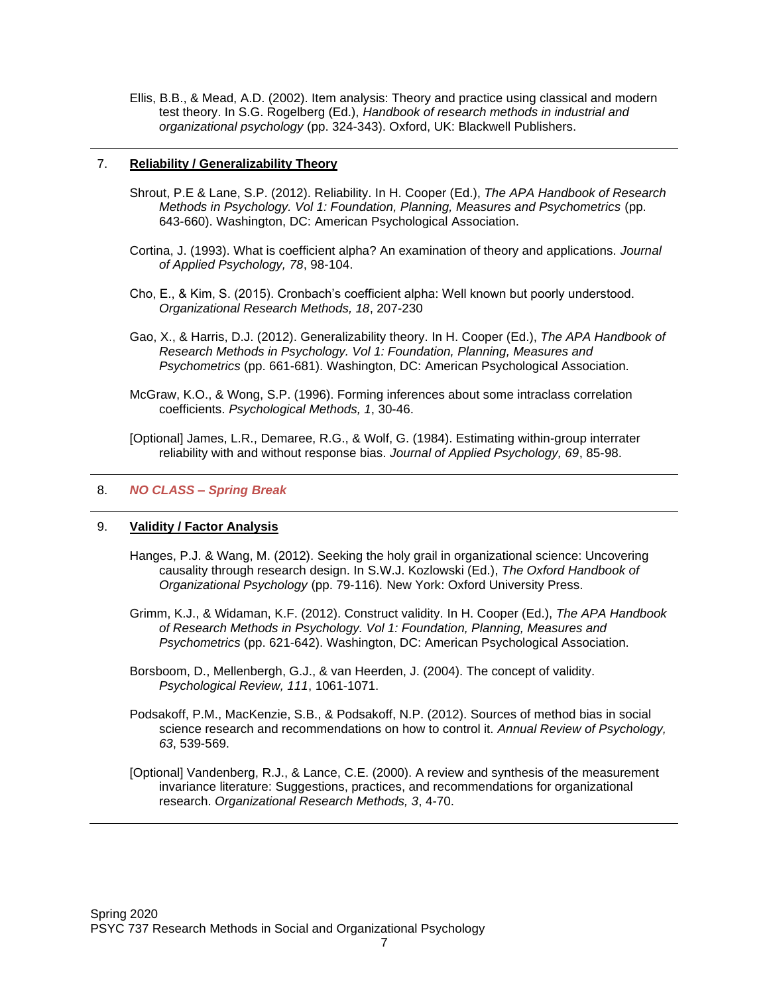Ellis, B.B., & Mead, A.D. (2002). Item analysis: Theory and practice using classical and modern test theory. In S.G. Rogelberg (Ed.), *Handbook of research methods in industrial and organizational psychology* (pp. 324-343). Oxford, UK: Blackwell Publishers.

## 7. **Reliability / Generalizability Theory**

- Shrout, P.E & Lane, S.P. (2012). Reliability. In H. Cooper (Ed.), *The APA Handbook of Research Methods in Psychology. Vol 1: Foundation, Planning, Measures and Psychometrics* (pp. 643-660). Washington, DC: American Psychological Association.
- Cortina, J. (1993). What is coefficient alpha? An examination of theory and applications. *Journal of Applied Psychology, 78*, 98-104.
- Cho, E., & Kim, S. (2015). Cronbach's coefficient alpha: Well known but poorly understood. *Organizational Research Methods, 18*, 207-230
- Gao, X., & Harris, D.J. (2012). Generalizability theory. In H. Cooper (Ed.), *The APA Handbook of Research Methods in Psychology. Vol 1: Foundation, Planning, Measures and Psychometrics* (pp. 661-681). Washington, DC: American Psychological Association.
- McGraw, K.O., & Wong, S.P. (1996). Forming inferences about some intraclass correlation coefficients. *Psychological Methods, 1*, 30-46.

[Optional] James, L.R., Demaree, R.G., & Wolf, G. (1984). Estimating within-group interrater reliability with and without response bias. *Journal of Applied Psychology, 69*, 85-98.

## 8. *NO CLASS – Spring Break*

#### 9. **Validity / Factor Analysis**

- Hanges, P.J. & Wang, M. (2012). Seeking the holy grail in organizational science: Uncovering causality through research design. In S.W.J. Kozlowski (Ed.), *The Oxford Handbook of Organizational Psychology* (pp. 79-116)*.* New York: Oxford University Press.
- Grimm, K.J., & Widaman, K.F. (2012). Construct validity. In H. Cooper (Ed.), *The APA Handbook of Research Methods in Psychology. Vol 1: Foundation, Planning, Measures and Psychometrics* (pp. 621-642). Washington, DC: American Psychological Association.
- Borsboom, D., Mellenbergh, G.J., & van Heerden, J. (2004). The concept of validity. *Psychological Review, 111*, 1061-1071.
- Podsakoff, P.M., MacKenzie, S.B., & Podsakoff, N.P. (2012). Sources of method bias in social science research and recommendations on how to control it. *Annual Review of Psychology, 63*, 539-569.
- [Optional] Vandenberg, R.J., & Lance, C.E. (2000). A review and synthesis of the measurement invariance literature: Suggestions, practices, and recommendations for organizational research. *Organizational Research Methods, 3*, 4-70.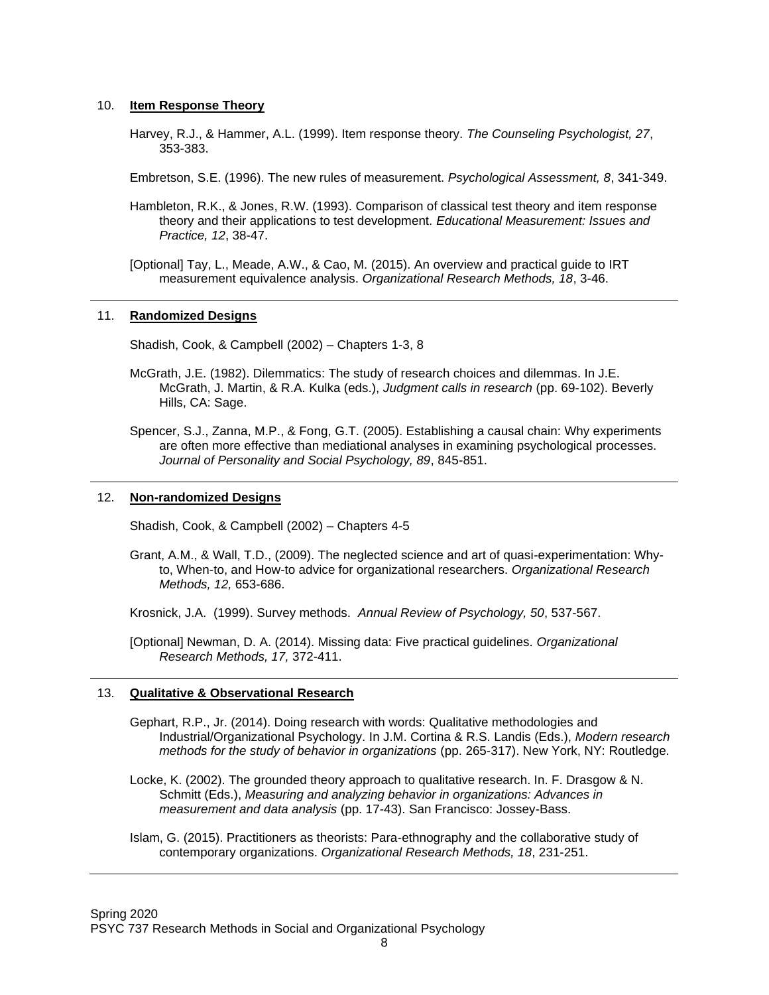#### 10. **Item Response Theory**

Harvey, R.J., & Hammer, A.L. (1999). Item response theory. *The Counseling Psychologist, 27*, 353-383.

Embretson, S.E. (1996). The new rules of measurement. *Psychological Assessment, 8*, 341-349.

Hambleton, R.K., & Jones, R.W. (1993). Comparison of classical test theory and item response theory and their applications to test development. *Educational Measurement: Issues and Practice, 12*, 38-47.

[Optional] Tay, L., Meade, A.W., & Cao, M. (2015). An overview and practical guide to IRT measurement equivalence analysis. *Organizational Research Methods, 18*, 3-46.

#### 11. **Randomized Designs**

Shadish, Cook, & Campbell (2002) – Chapters 1-3, 8

- McGrath, J.E. (1982). Dilemmatics: The study of research choices and dilemmas. In J.E. McGrath, J. Martin, & R.A. Kulka (eds.), *Judgment calls in research* (pp. 69-102). Beverly Hills, CA: Sage.
- Spencer, S.J., Zanna, M.P., & Fong, G.T. (2005). Establishing a causal chain: Why experiments are often more effective than mediational analyses in examining psychological processes. *Journal of Personality and Social Psychology, 89*, 845-851.

#### 12. **Non-randomized Designs**

Shadish, Cook, & Campbell (2002) – Chapters 4-5

Grant, A.M., & Wall, T.D., (2009). The neglected science and art of quasi-experimentation: Whyto, When-to, and How-to advice for organizational researchers. *Organizational Research Methods, 12,* 653-686.

Krosnick, J.A. (1999). Survey methods. *Annual Review of Psychology, 50*, 537-567.

[Optional] Newman, D. A. (2014). Missing data: Five practical guidelines. *Organizational Research Methods, 17,* 372-411.

#### 13. **Qualitative & Observational Research**

Gephart, R.P., Jr. (2014). Doing research with words: Qualitative methodologies and Industrial/Organizational Psychology. In J.M. Cortina & R.S. Landis (Eds.), *Modern research methods for the study of behavior in organizations* (pp. 265-317). New York, NY: Routledge.

Locke, K. (2002). The grounded theory approach to qualitative research. In. F. Drasgow & N. Schmitt (Eds.), *Measuring and analyzing behavior in organizations: Advances in measurement and data analysis* (pp. 17-43). San Francisco: Jossey-Bass.

Islam, G. (2015). Practitioners as theorists: Para-ethnography and the collaborative study of contemporary organizations. *Organizational Research Methods, 18*, 231-251.